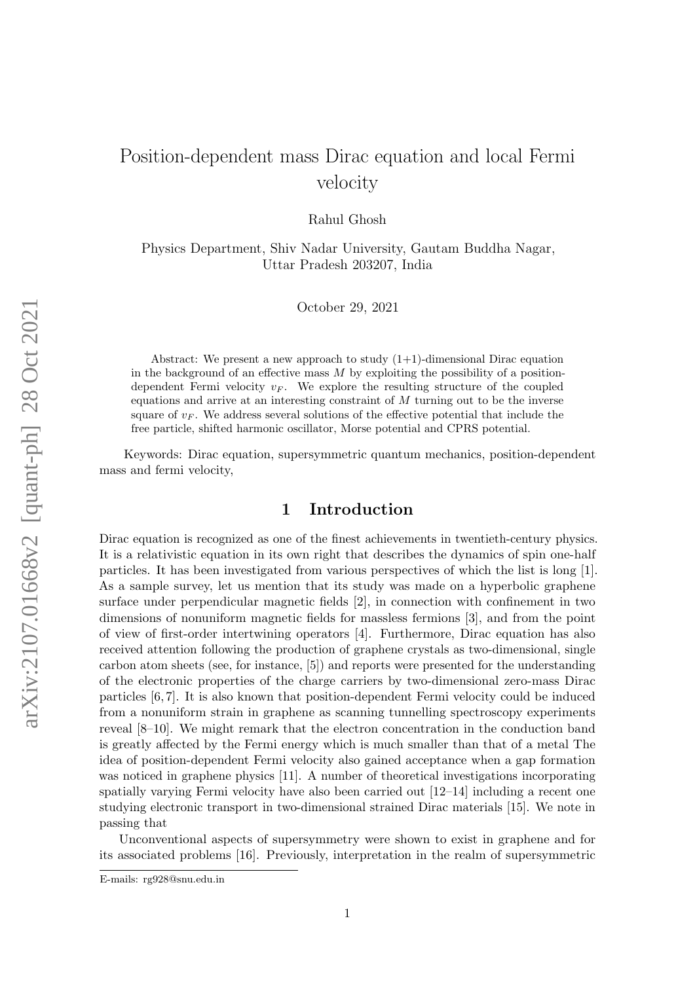# Position-dependent mass Dirac equation and local Fermi velocity

Rahul Ghosh

Physics Department, Shiv Nadar University, Gautam Buddha Nagar, Uttar Pradesh 203207, India

October 29, 2021

Abstract: We present a new approach to study  $(1+1)$ -dimensional Dirac equation in the background of an effective mass  $M$  by exploiting the possibility of a positiondependent Fermi velocity  $v_F$ . We explore the resulting structure of the coupled equations and arrive at an interesting constraint of  $M$  turning out to be the inverse square of  $v_F$ . We address several solutions of the effective potential that include the free particle, shifted harmonic oscillator, Morse potential and CPRS potential.

Keywords: Dirac equation, supersymmetric quantum mechanics, position-dependent mass and fermi velocity,

# 1 Introduction

Dirac equation is recognized as one of the finest achievements in twentieth-century physics. It is a relativistic equation in its own right that describes the dynamics of spin one-half particles. It has been investigated from various perspectives of which the list is long [1]. As a sample survey, let us mention that its study was made on a hyperbolic graphene surface under perpendicular magnetic fields [2], in connection with confinement in two dimensions of nonuniform magnetic fields for massless fermions [3], and from the point of view of first-order intertwining operators [4]. Furthermore, Dirac equation has also received attention following the production of graphene crystals as two-dimensional, single carbon atom sheets (see, for instance, [5]) and reports were presented for the understanding of the electronic properties of the charge carriers by two-dimensional zero-mass Dirac particles [6, 7]. It is also known that position-dependent Fermi velocity could be induced from a nonuniform strain in graphene as scanning tunnelling spectroscopy experiments reveal [8–10]. We might remark that the electron concentration in the conduction band is greatly affected by the Fermi energy which is much smaller than that of a metal The idea of position-dependent Fermi velocity also gained acceptance when a gap formation was noticed in graphene physics [11]. A number of theoretical investigations incorporating spatially varying Fermi velocity have also been carried out [12–14] including a recent one studying electronic transport in two-dimensional strained Dirac materials [15]. We note in passing that

Unconventional aspects of supersymmetry were shown to exist in graphene and for its associated problems [16]. Previously, interpretation in the realm of supersymmetric

E-mails: rg928@snu.edu.in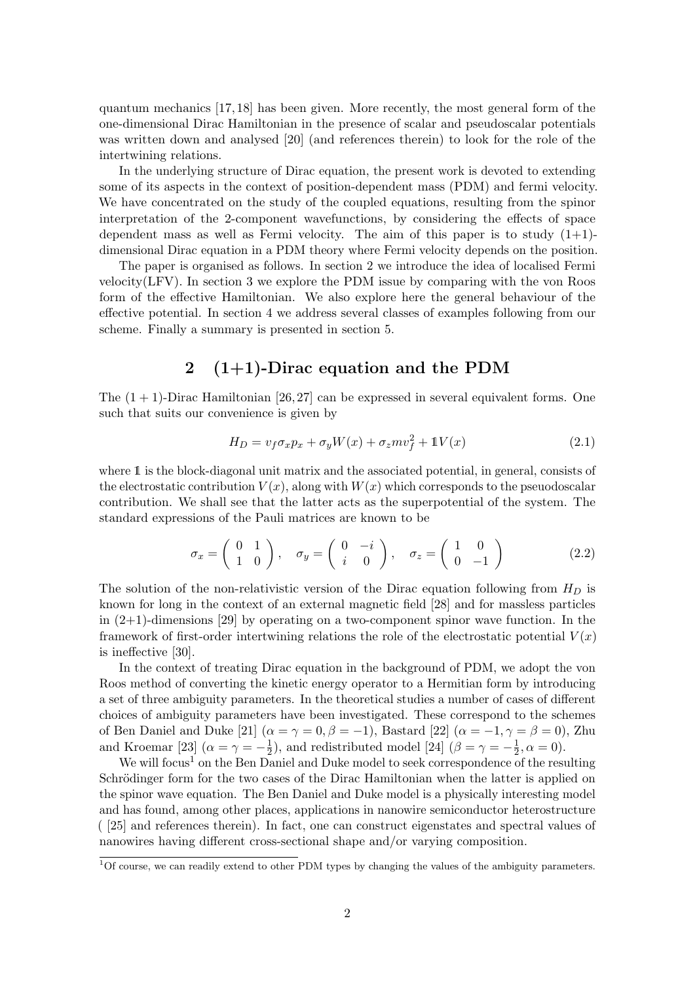quantum mechanics [17, 18] has been given. More recently, the most general form of the one-dimensional Dirac Hamiltonian in the presence of scalar and pseudoscalar potentials was written down and analysed [20] (and references therein) to look for the role of the intertwining relations.

In the underlying structure of Dirac equation, the present work is devoted to extending some of its aspects in the context of position-dependent mass (PDM) and fermi velocity. We have concentrated on the study of the coupled equations, resulting from the spinor interpretation of the 2-component wavefunctions, by considering the effects of space dependent mass as well as Fermi velocity. The aim of this paper is to study  $(1+1)$ dimensional Dirac equation in a PDM theory where Fermi velocity depends on the position.

The paper is organised as follows. In section 2 we introduce the idea of localised Fermi velocity(LFV). In section 3 we explore the PDM issue by comparing with the von Roos form of the effective Hamiltonian. We also explore here the general behaviour of the effective potential. In section 4 we address several classes of examples following from our scheme. Finally a summary is presented in section 5.

# 2  $(1+1)$ -Dirac equation and the PDM

The  $(1 + 1)$ -Dirac Hamiltonian [26, 27] can be expressed in several equivalent forms. One such that suits our convenience is given by

$$
H_D = v_f \sigma_x p_x + \sigma_y W(x) + \sigma_z m v_f^2 + 1 V(x)
$$
\n(2.1)

where 1 is the block-diagonal unit matrix and the associated potential, in general, consists of the electrostatic contribution  $V(x)$ , along with  $W(x)$  which corresponds to the pseudoscalar contribution. We shall see that the latter acts as the superpotential of the system. The standard expressions of the Pauli matrices are known to be

$$
\sigma_x = \begin{pmatrix} 0 & 1 \\ 1 & 0 \end{pmatrix}, \quad \sigma_y = \begin{pmatrix} 0 & -i \\ i & 0 \end{pmatrix}, \quad \sigma_z = \begin{pmatrix} 1 & 0 \\ 0 & -1 \end{pmatrix} \tag{2.2}
$$

The solution of the non-relativistic version of the Dirac equation following from  $H_D$  is known for long in the context of an external magnetic field [28] and for massless particles in  $(2+1)$ -dimensions [29] by operating on a two-component spinor wave function. In the framework of first-order intertwining relations the role of the electrostatic potential  $V(x)$ is ineffective [30].

In the context of treating Dirac equation in the background of PDM, we adopt the von Roos method of converting the kinetic energy operator to a Hermitian form by introducing a set of three ambiguity parameters. In the theoretical studies a number of cases of different choices of ambiguity parameters have been investigated. These correspond to the schemes of Ben Daniel and Duke [21]  $(\alpha = \gamma = 0, \beta = -1)$ , Bastard [22]  $(\alpha = -1, \gamma = \beta = 0)$ , Zhu and Kroemar [23]  $(\alpha = \gamma = -\frac{1}{2})$  $\frac{1}{2}$ ), and redistributed model [24] ( $\beta = \gamma = -\frac{1}{2}$  $\frac{1}{2}, \alpha = 0$ ).

We will focus<sup>1</sup> on the Ben Daniel and Duke model to seek correspondence of the resulting Schrödinger form for the two cases of the Dirac Hamiltonian when the latter is applied on the spinor wave equation. The Ben Daniel and Duke model is a physically interesting model and has found, among other places, applications in nanowire semiconductor heterostructure ( [25] and references therein). In fact, one can construct eigenstates and spectral values of nanowires having different cross-sectional shape and/or varying composition.

 $1$ Of course, we can readily extend to other PDM types by changing the values of the ambiguity parameters.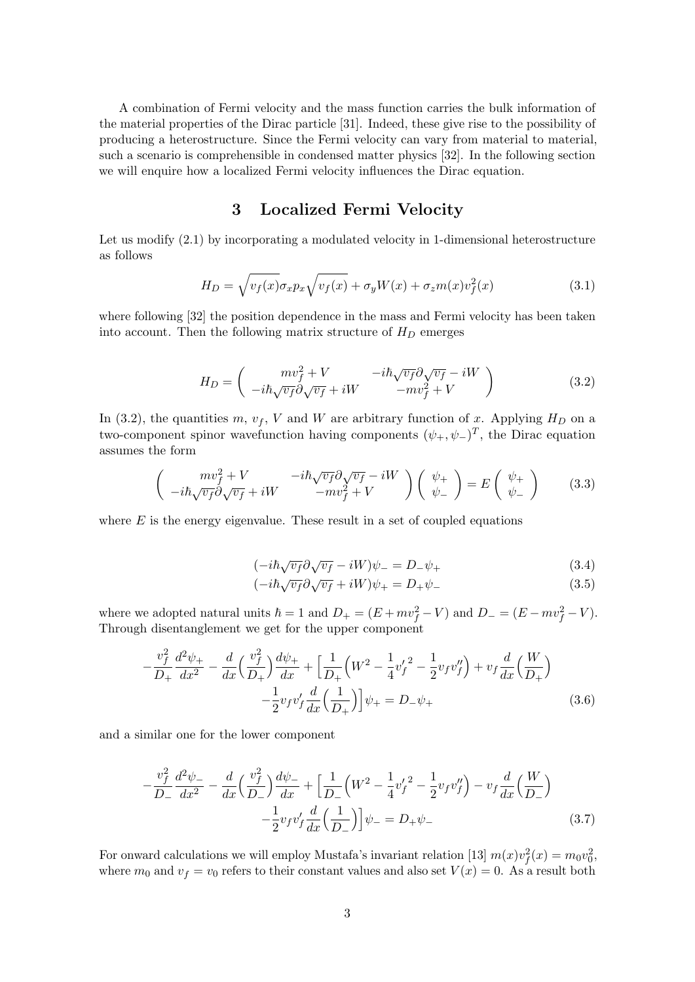A combination of Fermi velocity and the mass function carries the bulk information of the material properties of the Dirac particle [31]. Indeed, these give rise to the possibility of producing a heterostructure. Since the Fermi velocity can vary from material to material, such a scenario is comprehensible in condensed matter physics [32]. In the following section we will enquire how a localized Fermi velocity influences the Dirac equation.

## 3 Localized Fermi Velocity

Let us modify (2.1) by incorporating a modulated velocity in 1-dimensional heterostructure as follows

$$
H_D = \sqrt{v_f(x)} \sigma_x p_x \sqrt{v_f(x)} + \sigma_y W(x) + \sigma_z m(x) v_f^2(x)
$$
\n(3.1)

where following [32] the position dependence in the mass and Fermi velocity has been taken into account. Then the following matrix structure of  $H_D$  emerges

$$
H_D = \begin{pmatrix} m v_f^2 + V & -i\hbar \sqrt{v_f} \partial \sqrt{v_f} - iW \\ -i\hbar \sqrt{v_f} \partial \sqrt{v_f} + iW & -m v_f^2 + V \end{pmatrix}
$$
(3.2)

In (3.2), the quantities m,  $v_f$ , V and W are arbitrary function of x. Applying  $H_D$  on a two-component spinor wavefunction having components  $(\psi_+, \psi_-)^T$ , the Dirac equation assumes the form

$$
\begin{pmatrix} mv_f^2 + V & -i\hbar\sqrt{v_f}\partial\sqrt{v_f} - iW \\ -i\hbar\sqrt{v_f}\partial\sqrt{v_f} + iW & -mv_f^2 + V \end{pmatrix} \begin{pmatrix} \psi_+ \\ \psi_- \end{pmatrix} = E \begin{pmatrix} \psi_+ \\ \psi_- \end{pmatrix}
$$
 (3.3)

where  $E$  is the energy eigenvalue. These result in a set of coupled equations

$$
(-i\hbar\sqrt{v_f}\partial\sqrt{v_f} - iW)\psi_- = D_-\psi_+\tag{3.4}
$$

$$
(-i\hbar\sqrt{v_f}\partial\sqrt{v_f} + iW)\psi_+ = D_+\psi_-\tag{3.5}
$$

where we adopted natural units  $\hbar = 1$  and  $D_+ = (E + mv_f^2 - V)$  and  $D_- = (E - mv_f^2 - V)$ . Through disentanglement we get for the upper component

$$
-\frac{v_f^2}{D_+} \frac{d^2 \psi_+}{dx^2} - \frac{d}{dx} \left(\frac{v_f^2}{D_+}\right) \frac{d\psi_+}{dx} + \left[\frac{1}{D_+} \left(W^2 - \frac{1}{4} v_f'^2 - \frac{1}{2} v_f v_f''\right) + v_f \frac{d}{dx} \left(\frac{W}{D_+}\right) - \frac{1}{2} v_f v_f' \frac{d}{dx} \left(\frac{1}{D_+}\right) \right] \psi_+ = D_- \psi_+ \tag{3.6}
$$

and a similar one for the lower component

$$
-\frac{v_f^2}{D_-} \frac{d^2 \psi_-}{dx^2} - \frac{d}{dx} \left(\frac{v_f^2}{D_-}\right) \frac{d\psi_-}{dx} + \left[\frac{1}{D_-} \left(W^2 - \frac{1}{4} v_f'^2 - \frac{1}{2} v_f v_f''\right) - v_f \frac{d}{dx} \left(\frac{W}{D_-}\right) - \frac{1}{2} v_f v_f' \frac{d}{dx} \left(\frac{1}{D_-}\right) \right] \psi_- = D_+ \psi_- \tag{3.7}
$$

For onward calculations we will employ Mustafa's invariant relation [13]  $m(x)v_f^2(x) = m_0v_0^2$ , where  $m_0$  and  $v_f = v_0$  refers to their constant values and also set  $V(x) = 0$ . As a result both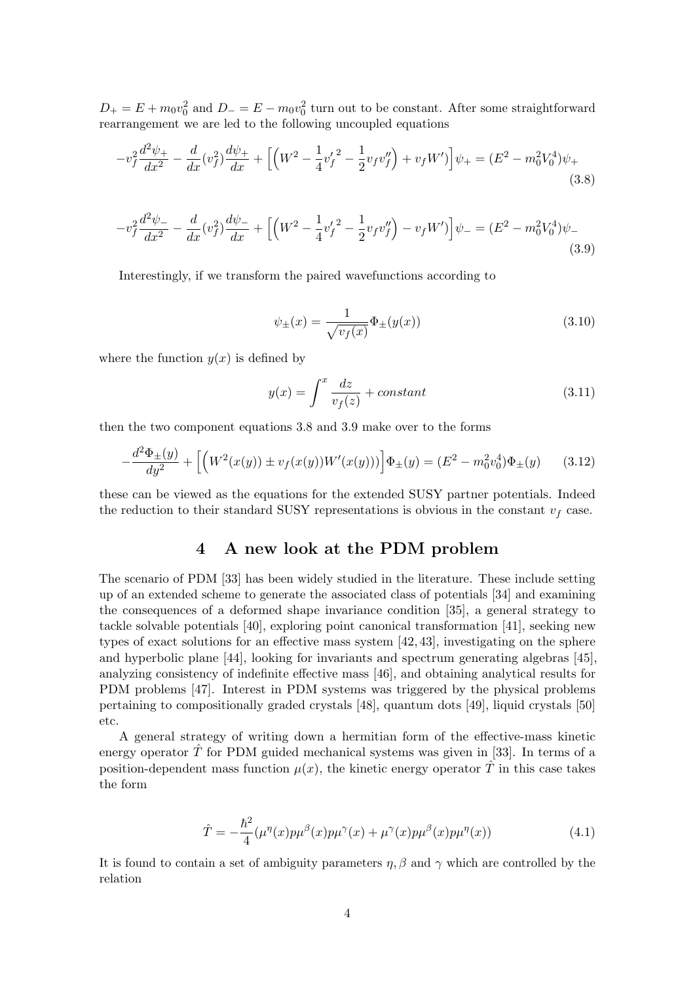$D_+ = E + m_0 v_0^2$  and  $D_- = E - m_0 v_0^2$  turn out to be constant. After some straightforward rearrangement we are led to the following uncoupled equations

$$
-v_f^2 \frac{d^2 \psi_+}{dx^2} - \frac{d}{dx} (v_f^2) \frac{d\psi_+}{dx} + \left[ \left( W^2 - \frac{1}{4} v_f'^2 - \frac{1}{2} v_f v_f'' \right) + v_f W' \right] \psi_+ = (E^2 - m_0^2 V_0^4) \psi_+ \tag{3.8}
$$

$$
-v_f^2 \frac{d^2 \psi_-}{dx^2} - \frac{d}{dx} (v_f^2) \frac{d\psi_-}{dx} + \left[ \left( W^2 - \frac{1}{4} v_f'^2 - \frac{1}{2} v_f v_f'' \right) - v_f W' \right] \psi_- = (E^2 - m_0^2 V_0^4) \psi_- \tag{3.9}
$$

Interestingly, if we transform the paired wavefunctions according to

$$
\psi_{\pm}(x) = \frac{1}{\sqrt{v_f(x)}} \Phi_{\pm}(y(x))
$$
\n(3.10)

where the function  $y(x)$  is defined by

$$
y(x) = \int_{-\infty}^{x} \frac{dz}{v_f(z)} + constant \tag{3.11}
$$

then the two component equations 3.8 and 3.9 make over to the forms

$$
-\frac{d^2\Phi_{\pm}(y)}{dy^2} + \left[ \left( W^2(x(y)) \pm v_f(x(y)) W'(x(y)) \right) \right] \Phi_{\pm}(y) = (E^2 - m_0^2 v_0^4) \Phi_{\pm}(y) \tag{3.12}
$$

these can be viewed as the equations for the extended SUSY partner potentials. Indeed the reduction to their standard SUSY representations is obvious in the constant  $v_f$  case.

# 4 A new look at the PDM problem

The scenario of PDM [33] has been widely studied in the literature. These include setting up of an extended scheme to generate the associated class of potentials [34] and examining the consequences of a deformed shape invariance condition [35], a general strategy to tackle solvable potentials [40], exploring point canonical transformation [41], seeking new types of exact solutions for an effective mass system [42, 43], investigating on the sphere and hyperbolic plane [44], looking for invariants and spectrum generating algebras [45], analyzing consistency of indefinite effective mass [46], and obtaining analytical results for PDM problems [47]. Interest in PDM systems was triggered by the physical problems pertaining to compositionally graded crystals [48], quantum dots [49], liquid crystals [50] etc.

A general strategy of writing down a hermitian form of the effective-mass kinetic energy operator  $\hat{T}$  for PDM guided mechanical systems was given in [33]. In terms of a position-dependent mass function  $\mu(x)$ , the kinetic energy operator  $\hat{T}$  in this case takes the form

$$
\hat{T} = -\frac{\hbar^2}{4} (\mu^{\eta}(x)p\mu^{\beta}(x)p\mu^{\gamma}(x) + \mu^{\gamma}(x)p\mu^{\beta}(x)p\mu^{\eta}(x)) \tag{4.1}
$$

It is found to contain a set of ambiguity parameters  $\eta$ ,  $\beta$  and  $\gamma$  which are controlled by the relation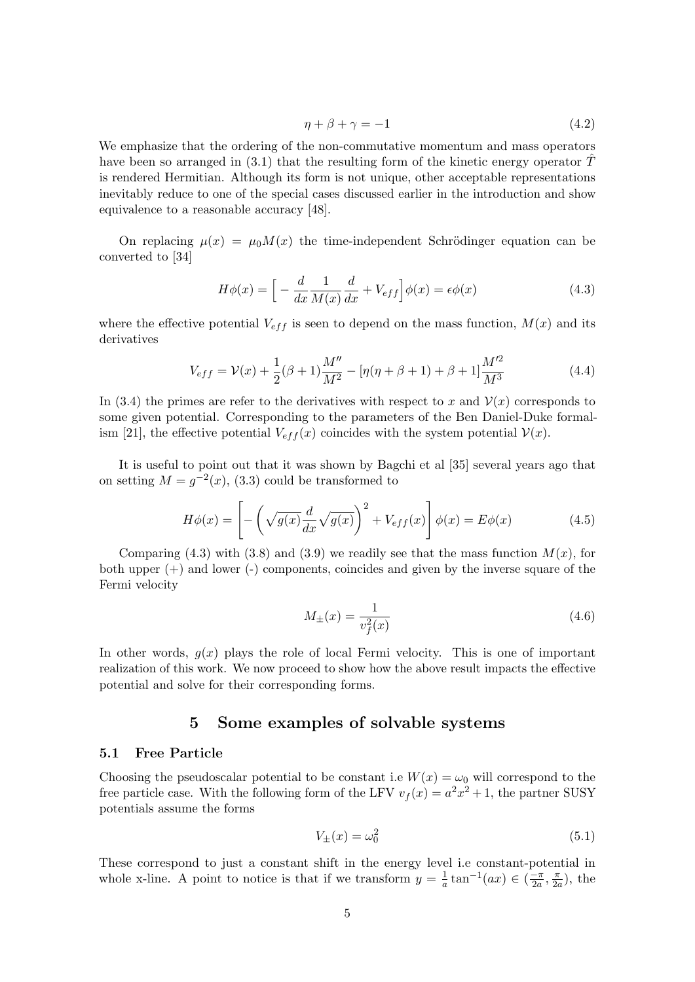$$
\eta + \beta + \gamma = -1 \tag{4.2}
$$

We emphasize that the ordering of the non-commutative momentum and mass operators have been so arranged in (3.1) that the resulting form of the kinetic energy operator  $\hat{T}$ is rendered Hermitian. Although its form is not unique, other acceptable representations inevitably reduce to one of the special cases discussed earlier in the introduction and show equivalence to a reasonable accuracy [48].

On replacing  $\mu(x) = \mu_0 M(x)$  the time-independent Schrödinger equation can be converted to [34]

$$
H\phi(x) = \left[ -\frac{d}{dx}\frac{1}{M(x)}\frac{d}{dx} + V_{eff} \right] \phi(x) = \epsilon \phi(x)
$$
\n(4.3)

where the effective potential  $V_{eff}$  is seen to depend on the mass function,  $M(x)$  and its derivatives

$$
V_{eff} = \mathcal{V}(x) + \frac{1}{2}(\beta + 1)\frac{M''}{M^2} - [\eta(\eta + \beta + 1) + \beta + 1]\frac{M'^2}{M^3}
$$
(4.4)

In (3.4) the primes are refer to the derivatives with respect to x and  $\mathcal{V}(x)$  corresponds to some given potential. Corresponding to the parameters of the Ben Daniel-Duke formalism [21], the effective potential  $V_{eff}(x)$  coincides with the system potential  $V(x)$ .

It is useful to point out that it was shown by Bagchi et al [35] several years ago that on setting  $M = g^{-2}(x)$ , (3.3) could be transformed to

$$
H\phi(x) = \left[ -\left(\sqrt{g(x)}\frac{d}{dx}\sqrt{g(x)}\right)^2 + V_{eff}(x) \right] \phi(x) = E\phi(x) \tag{4.5}
$$

Comparing (4.3) with (3.8) and (3.9) we readily see that the mass function  $M(x)$ , for both upper  $(+)$  and lower  $(-)$  components, coincides and given by the inverse square of the Fermi velocity

$$
M_{\pm}(x) = \frac{1}{v_f^2(x)}\tag{4.6}
$$

In other words,  $g(x)$  plays the role of local Fermi velocity. This is one of important realization of this work. We now proceed to show how the above result impacts the effective potential and solve for their corresponding forms.

# 5 Some examples of solvable systems

#### 5.1 Free Particle

Choosing the pseudoscalar potential to be constant i.e  $W(x) = \omega_0$  will correspond to the free particle case. With the following form of the LFV  $v_f(x) = a^2x^2 + 1$ , the partner SUSY potentials assume the forms

$$
V_{\pm}(x) = \omega_0^2 \tag{5.1}
$$

These correspond to just a constant shift in the energy level i.e constant-potential in whole x-line. A point to notice is that if we transform  $y = \frac{1}{a}$  $\frac{1}{a} \tan^{-1}(ax) \in \left(\frac{-\pi}{2a}\right)$  $\frac{-\pi}{2a}, \frac{\pi}{2a}$  $\frac{\pi}{2a}$ , the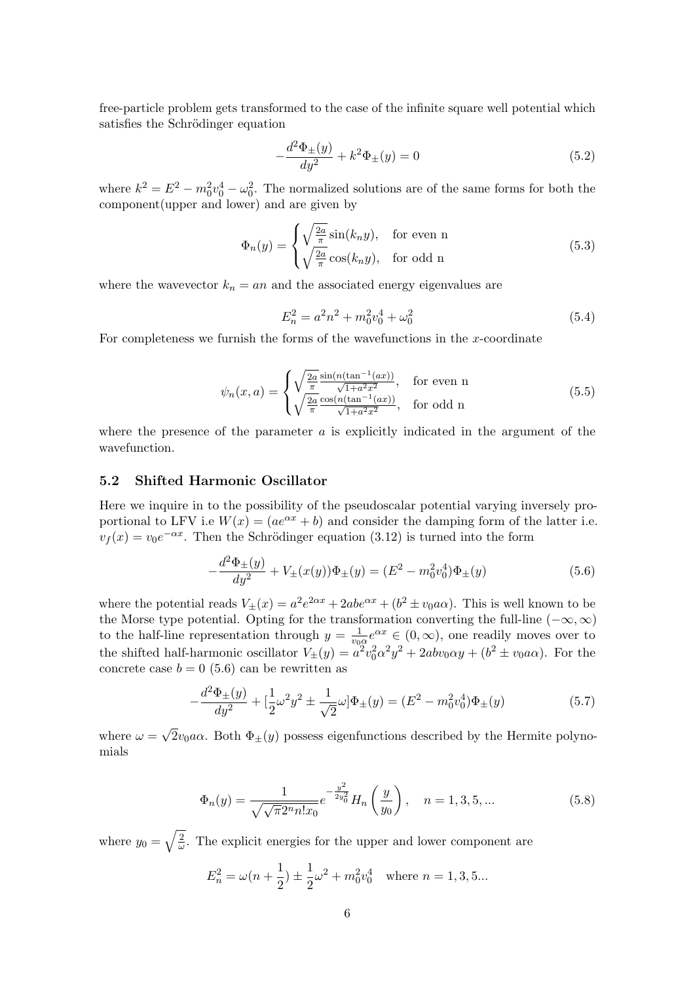free-particle problem gets transformed to the case of the infinite square well potential which satisfies the Schrödinger equation

$$
-\frac{d^2\Phi_{\pm}(y)}{dy^2} + k^2\Phi_{\pm}(y) = 0
$$
\n(5.2)

where  $k^2 = E^2 - m_0^2 v_0^4 - \omega_0^2$ . The normalized solutions are of the same forms for both the component(upper and lower) and are given by

$$
\Phi_n(y) = \begin{cases} \sqrt{\frac{2a}{\pi}} \sin(k_n y), & \text{for even n} \\ \sqrt{\frac{2a}{\pi}} \cos(k_n y), & \text{for odd n} \end{cases}
$$
(5.3)

where the wavevector  $k_n = an$  and the associated energy eigenvalues are

$$
E_n^2 = a^2 n^2 + m_0^2 v_0^4 + \omega_0^2 \tag{5.4}
$$

For completeness we furnish the forms of the wavefunctions in the  $x$ -coordinate

$$
\psi_n(x,a) = \begin{cases} \sqrt{\frac{2a}{\pi}} \frac{\sin(n(\tan^{-1}(ax))}{\sqrt{1+a^2x^2}}, & \text{for even n} \\ \sqrt{\frac{2a}{\pi}} \frac{\cos(n(\tan^{-1}(ax))}{\sqrt{1+a^2x^2}}, & \text{for odd n} \end{cases}
$$
(5.5)

where the presence of the parameter  $a$  is explicitly indicated in the argument of the wavefunction.

#### 5.2 Shifted Harmonic Oscillator

Here we inquire in to the possibility of the pseudoscalar potential varying inversely proportional to LFV i.e  $W(x) = (ae^{\alpha x} + b)$  and consider the damping form of the latter i.e.  $v_f(x) = v_0 e^{-\alpha x}$ . Then the Schrödinger equation (3.12) is turned into the form

$$
-\frac{d^2\Phi_{\pm}(y)}{dy^2} + V_{\pm}(x(y))\Phi_{\pm}(y) = (E^2 - m_0^2 v_0^4)\Phi_{\pm}(y)
$$
\n(5.6)

where the potential reads  $V_{\pm}(x) = a^2 e^{2\alpha x} + 2abc^{\alpha x} + (b^2 \pm v_0 a\alpha)$ . This is well known to be the Morse type potential. Opting for the transformation converting the full-line  $(-\infty, \infty)$ to the half-line representation through  $y = \frac{1}{y_0}$  $\frac{1}{v_0\alpha}e^{\alpha x}\in(0,\infty)$ , one readily moves over to the shifted half-harmonic oscillator  $V_{\pm}(y) = a^2v_0^2\alpha^2y^2 + 2abv_0\alpha y + (b^2 \pm v_0 a\alpha)$ . For the concrete case  $b = 0$  (5.6) can be rewritten as

$$
-\frac{d^2\Phi_{\pm}(y)}{dy^2} + \left[\frac{1}{2}\omega^2 y^2 \pm \frac{1}{\sqrt{2}}\omega\right]\Phi_{\pm}(y) = (E^2 - m_0^2 v_0^4)\Phi_{\pm}(y)
$$
(5.7)

where  $\omega =$ √  $2v_0a\alpha$ . Both  $\Phi_{\pm}(y)$  possess eigenfunctions described by the Hermite polynomials

$$
\Phi_n(y) = \frac{1}{\sqrt{\sqrt{\pi} 2^n n! x_0}} e^{-\frac{y^2}{2y_0^2}} H_n\left(\frac{y}{y_0}\right), \quad n = 1, 3, 5, ... \tag{5.8}
$$

where  $y_0 = \sqrt{\frac{2}{\omega}}$  $\frac{2}{\omega}$ . The explicit energies for the upper and lower component are

$$
E_n^2 = \omega(n + \frac{1}{2}) \pm \frac{1}{2}\omega^2 + m_0^2 v_0^4 \quad \text{where } n = 1, 3, 5...
$$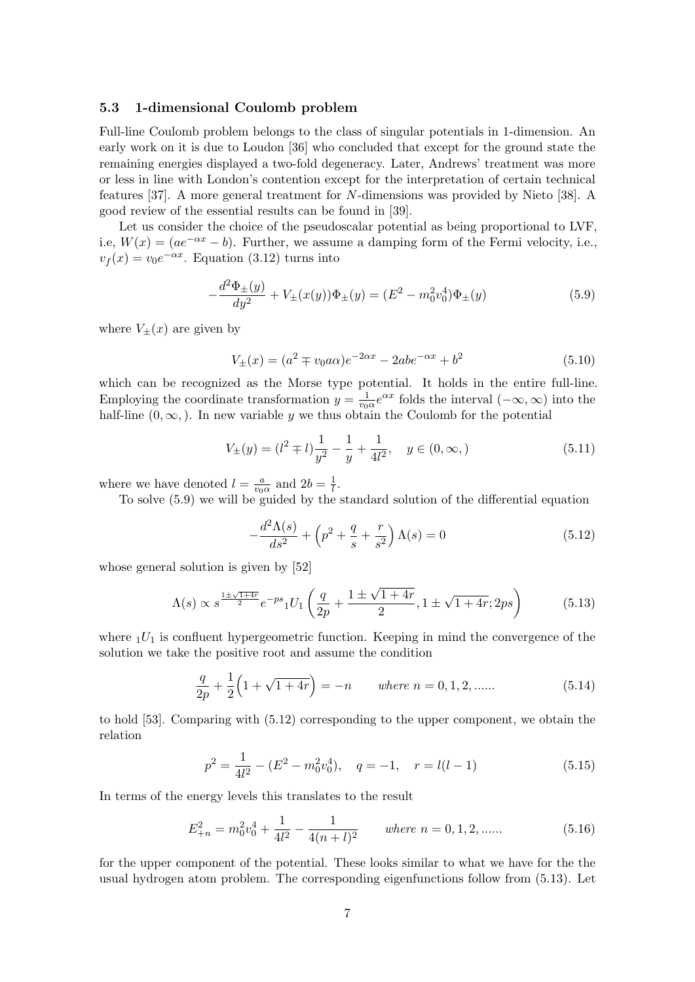#### 5.3 1-dimensional Coulomb problem

Full-line Coulomb problem belongs to the class of singular potentials in 1-dimension. An early work on it is due to Loudon [36] who concluded that except for the ground state the remaining energies displayed a two-fold degeneracy. Later, Andrews' treatment was more or less in line with London's contention except for the interpretation of certain technical features [37]. A more general treatment for N-dimensions was provided by Nieto [38]. A good review of the essential results can be found in [39].

Let us consider the choice of the pseudoscalar potential as being proportional to LVF, i.e,  $W(x) = (ae^{-\alpha x} - b)$ . Further, we assume a damping form of the Fermi velocity, i.e.,  $v_f(x) = v_0 e^{-\alpha x}$ . Equation (3.12) turns into

$$
-\frac{d^2\Phi_{\pm}(y)}{dy^2} + V_{\pm}(x(y))\Phi_{\pm}(y) = (E^2 - m_0^2 v_0^4)\Phi_{\pm}(y)
$$
\n(5.9)

where  $V_{\pm}(x)$  are given by

$$
V_{\pm}(x) = (a^2 \mp v_0 a\alpha)e^{-2\alpha x} - 2abe^{-\alpha x} + b^2
$$
\n(5.10)

which can be recognized as the Morse type potential. It holds in the entire full-line. Employing the coordinate transformation  $y = \frac{1}{y_0}$  $\frac{1}{v_0\alpha}e^{\alpha x}$  folds the interval  $(-\infty,\infty)$  into the half-line  $(0, \infty)$ . In new variable y we thus obtain the Coulomb for the potential

$$
V_{\pm}(y) = (l^2 \mp l)\frac{1}{y^2} - \frac{1}{y} + \frac{1}{4l^2}, \quad y \in (0, \infty,)
$$
\n(5.11)

where we have denoted  $l = \frac{a}{n_0}$  $\frac{a}{v_0 \alpha}$  and  $2b = \frac{1}{l}$  $\frac{1}{l}$ .

To solve (5.9) we will be guided by the standard solution of the differential equation

$$
-\frac{d^2\Lambda(s)}{ds^2} + \left(p^2 + \frac{q}{s} + \frac{r}{s^2}\right)\Lambda(s) = 0\tag{5.12}
$$

whose general solution is given by [52]

$$
\Lambda(s) \propto s^{\frac{1 \pm \sqrt{1+4r}}{2}} e^{-ps} {}_1U_1\left(\frac{q}{2p} + \frac{1 \pm \sqrt{1+4r}}{2}, 1 \pm \sqrt{1+4r}; 2ps\right) \tag{5.13}
$$

where  $1U_1$  is confluent hypergeometric function. Keeping in mind the convergence of the solution we take the positive root and assume the condition

$$
\frac{q}{2p} + \frac{1}{2} \left( 1 + \sqrt{1 + 4r} \right) = -n \qquad \text{where } n = 0, 1, 2, \dots \tag{5.14}
$$

to hold [53]. Comparing with (5.12) corresponding to the upper component, we obtain the relation

$$
p^2 = \frac{1}{4l^2} - (E^2 - m_0^2 v_0^4), \quad q = -1, \quad r = l(l-1)
$$
\n(5.15)

In terms of the energy levels this translates to the result

$$
E_{+n}^{2} = m_0^2 v_0^4 + \frac{1}{4l^2} - \frac{1}{4(n+l)^2} \qquad \text{where } n = 0, 1, 2, \dots \tag{5.16}
$$

for the upper component of the potential. These looks similar to what we have for the the usual hydrogen atom problem. The corresponding eigenfunctions follow from (5.13). Let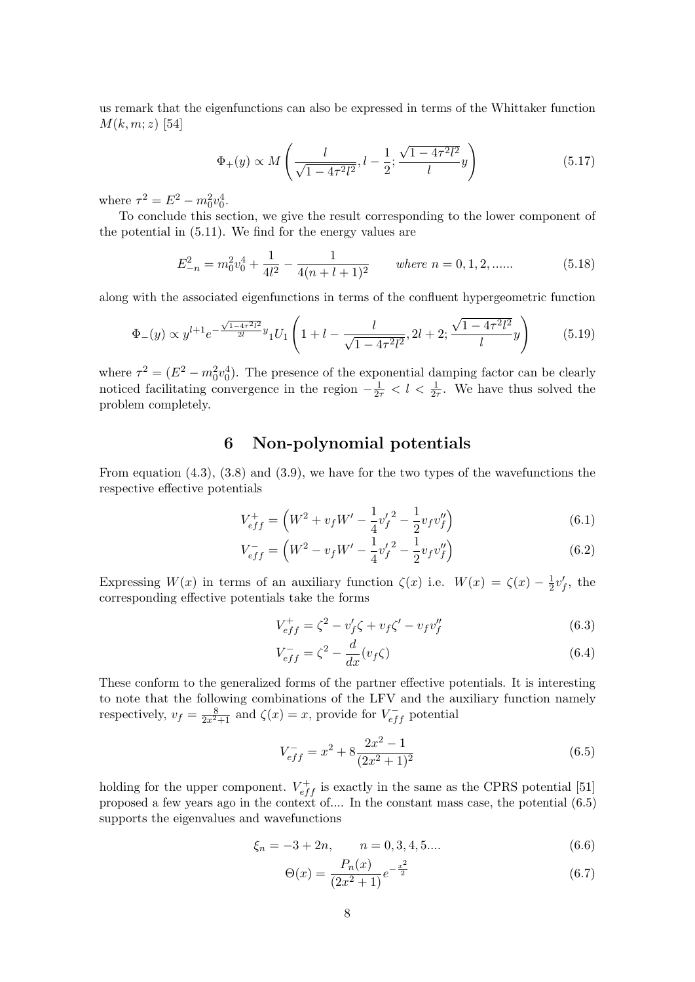us remark that the eigenfunctions can also be expressed in terms of the Whittaker function  $M(k, m; z)$  [54]

$$
\Phi_{+}(y) \propto M\left(\frac{l}{\sqrt{1 - 4\tau^2 l^2}}, l - \frac{1}{2}; \frac{\sqrt{1 - 4\tau^2 l^2}}{l}y\right) \tag{5.17}
$$

where  $\tau^2 = E^2 - m_0^2 v_0^4$ .

To conclude this section, we give the result corresponding to the lower component of the potential in (5.11). We find for the energy values are

$$
E_{-n}^{2} = m_0^2 v_0^4 + \frac{1}{4l^2} - \frac{1}{4(n+l+1)^2} \qquad \text{where } n = 0, 1, 2, \dots \tag{5.18}
$$

along with the associated eigenfunctions in terms of the confluent hypergeometric function

$$
\Phi_{-}(y) \propto y^{l+1} e^{-\frac{\sqrt{1-4\tau^2 l^2}}{2l}y} {}_{1}U_{1}\left(1+l-\frac{l}{\sqrt{1-4\tau^2 l^2}}, 2l+2; \frac{\sqrt{1-4\tau^2 l^2}}{l}y\right) \tag{5.19}
$$

where  $\tau^2 = (E^2 - m_0^2 v_0^4)$ . The presence of the exponential damping factor can be clearly noticed facilitating convergence in the region  $-\frac{1}{2\tau} < l < \frac{1}{2\tau}$ . We have thus solved the problem completely.

# 6 Non-polynomial potentials

From equation (4.3), (3.8) and (3.9), we have for the two types of the wavefunctions the respective effective potentials

$$
V_{eff}^{+} = \left(W^{2} + v_{f}W' - \frac{1}{4}v_{f}'^{2} - \frac{1}{2}v_{f}v_{f}''\right)
$$
\n(6.1)

$$
V_{eff}^- = \left(W^2 - v_f W' - \frac{1}{4} v_f'^2 - \frac{1}{2} v_f v_f''\right) \tag{6.2}
$$

Expressing  $W(x)$  in terms of an auxiliary function  $\zeta(x)$  i.e.  $W(x) = \zeta(x) - \frac{1}{2}$  $\frac{1}{2}v'_f$ , the corresponding effective potentials take the forms

$$
V_{eff}^{+} = \zeta^{2} - v_{f}'\zeta + v_{f}\zeta' - v_{f}v_{f}''
$$
\n(6.3)

$$
V_{eff}^- = \zeta^2 - \frac{d}{dx}(v_f \zeta) \tag{6.4}
$$

These conform to the generalized forms of the partner effective potentials. It is interesting to note that the following combinations of the LFV and the auxiliary function namely respectively,  $v_f = \frac{8}{2x^2+1}$  and  $\zeta(x) = x$ , provide for  $V_{eff}^-$  potential

$$
V_{eff}^{-} = x^2 + 8\frac{2x^2 - 1}{(2x^2 + 1)^2}
$$
\n(6.5)

holding for the upper component.  $V_{eff}^{+}$  is exactly in the same as the CPRS potential [51] proposed a few years ago in the context of.... In the constant mass case, the potential (6.5) supports the eigenvalues and wavefunctions

$$
\xi_n = -3 + 2n, \qquad n = 0, 3, 4, 5.... \tag{6.6}
$$

$$
\Theta(x) = \frac{P_n(x)}{(2x^2 + 1)} e^{-\frac{x^2}{2}}
$$
\n(6.7)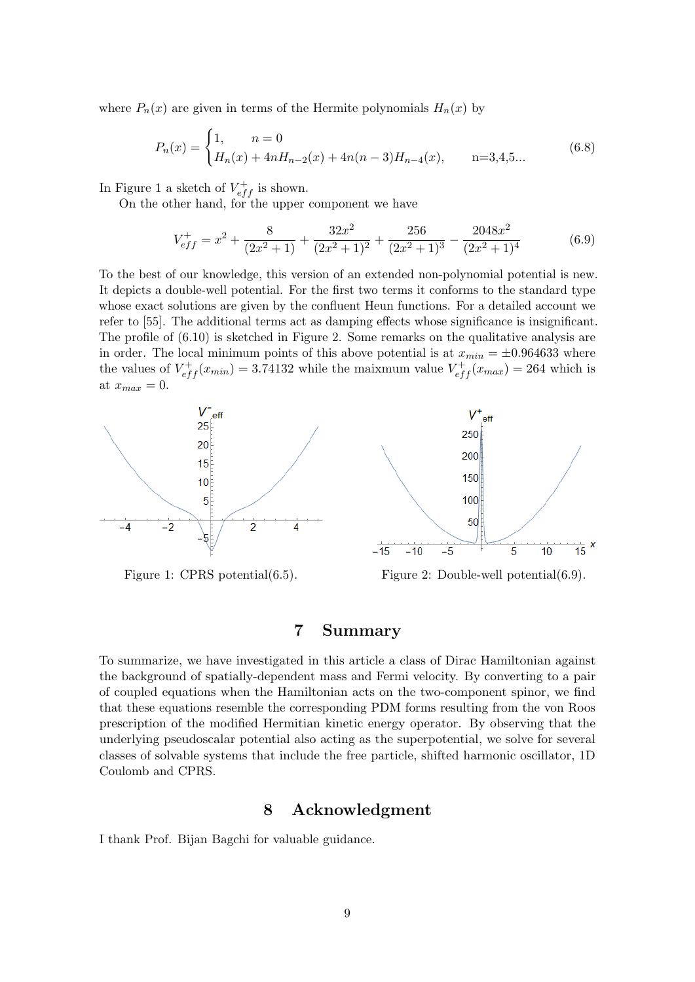where  $P_n(x)$  are given in terms of the Hermite polynomials  $H_n(x)$  by

$$
P_n(x) = \begin{cases} 1, & n = 0\\ H_n(x) + 4nH_{n-2}(x) + 4n(n-3)H_{n-4}(x), & n = 3, 4, 5 \dots \end{cases} \tag{6.8}
$$

In Figure 1 a sketch of  $V_{eff}^{+}$  is shown.

On the other hand, for the upper component we have

$$
V_{eff}^{+} = x^{2} + \frac{8}{(2x^{2} + 1)} + \frac{32x^{2}}{(2x^{2} + 1)^{2}} + \frac{256}{(2x^{2} + 1)^{3}} - \frac{2048x^{2}}{(2x^{2} + 1)^{4}}
$$
(6.9)

To the best of our knowledge, this version of an extended non-polynomial potential is new. It depicts a double-well potential. For the first two terms it conforms to the standard type whose exact solutions are given by the confluent Heun functions. For a detailed account we refer to [55]. The additional terms act as damping effects whose significance is insignificant. The profile of (6.10) is sketched in Figure 2. Some remarks on the qualitative analysis are in order. The local minimum points of this above potential is at  $x_{min} = \pm 0.964633$  where the values of  $V_{eff}^{+}(x_{min}) = 3.74132$  while the maixmum value  $V_{eff}^{+}(x_{max}) = 264$  which is at  $x_{max} = 0$ .



To summarize, we have investigated in this article a class of Dirac Hamiltonian against the background of spatially-dependent mass and Fermi velocity. By converting to a pair of coupled equations when the Hamiltonian acts on the two-component spinor, we find that these equations resemble the corresponding PDM forms resulting from the von Roos prescription of the modified Hermitian kinetic energy operator. By observing that the underlying pseudoscalar potential also acting as the superpotential, we solve for several classes of solvable systems that include the free particle, shifted harmonic oscillator, 1D Coulomb and CPRS.

7 Summary

# 8 Acknowledgment

I thank Prof. Bijan Bagchi for valuable guidance.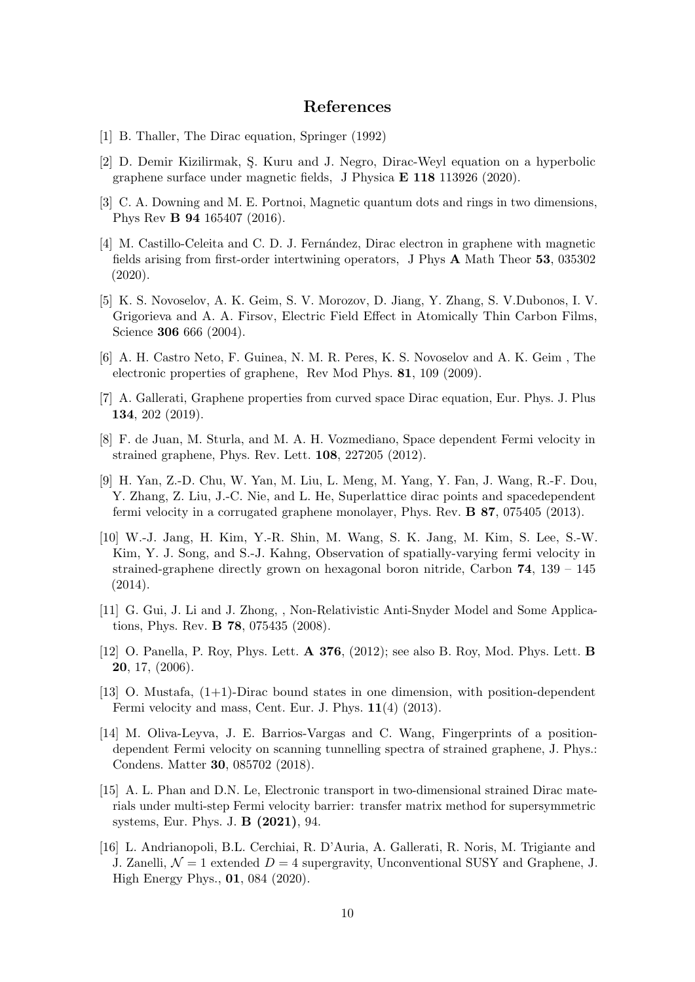### References

- [1] B. Thaller, The Dirac equation, Springer (1992)
- [2] D. Demir Kizilirmak, S. Kuru and J. Negro, Dirac-Weyl equation on a hyperbolic graphene surface under magnetic fields, J Physica E 118 113926 (2020).
- [3] C. A. Downing and M. E. Portnoi, Magnetic quantum dots and rings in two dimensions, Phys Rev B 94 165407 (2016).
- [4] M. Castillo-Celeita and C. D. J. Fernández, Dirac electron in graphene with magnetic fields arising from first-order intertwining operators, J Phys A Math Theor 53, 035302 (2020).
- [5] K. S. Novoselov, A. K. Geim, S. V. Morozov, D. Jiang, Y. Zhang, S. V.Dubonos, I. V. Grigorieva and A. A. Firsov, Electric Field Effect in Atomically Thin Carbon Films, Science **306** 666 (2004).
- [6] A. H. Castro Neto, F. Guinea, N. M. R. Peres, K. S. Novoselov and A. K. Geim , The electronic properties of graphene, Rev Mod Phys. 81, 109 (2009).
- [7] A. Gallerati, Graphene properties from curved space Dirac equation, Eur. Phys. J. Plus 134, 202 (2019).
- [8] F. de Juan, M. Sturla, and M. A. H. Vozmediano, Space dependent Fermi velocity in strained graphene, Phys. Rev. Lett. 108, 227205 (2012).
- [9] H. Yan, Z.-D. Chu, W. Yan, M. Liu, L. Meng, M. Yang, Y. Fan, J. Wang, R.-F. Dou, Y. Zhang, Z. Liu, J.-C. Nie, and L. He, Superlattice dirac points and spacedependent fermi velocity in a corrugated graphene monolayer, Phys. Rev. B 87, 075405 (2013).
- [10] W.-J. Jang, H. Kim, Y.-R. Shin, M. Wang, S. K. Jang, M. Kim, S. Lee, S.-W. Kim, Y. J. Song, and S.-J. Kahng, Observation of spatially-varying fermi velocity in strained-graphene directly grown on hexagonal boron nitride, Carbon  $74$ ,  $139 - 145$ (2014).
- [11] G. Gui, J. Li and J. Zhong, , Non-Relativistic Anti-Snyder Model and Some Applications, Phys. Rev. B 78, 075435 (2008).
- [12] O. Panella, P. Roy, Phys. Lett. A 376, (2012); see also B. Roy, Mod. Phys. Lett. B 20, 17, (2006).
- [13] O. Mustafa, (1+1)-Dirac bound states in one dimension, with position-dependent Fermi velocity and mass, Cent. Eur. J. Phys. 11(4) (2013).
- [14] M. Oliva-Leyva, J. E. Barrios-Vargas and C. Wang, Fingerprints of a positiondependent Fermi velocity on scanning tunnelling spectra of strained graphene, J. Phys.: Condens. Matter 30, 085702 (2018).
- [15] A. L. Phan and D.N. Le, Electronic transport in two-dimensional strained Dirac materials under multi-step Fermi velocity barrier: transfer matrix method for supersymmetric systems, Eur. Phys. J. B (2021), 94.
- [16] L. Andrianopoli, B.L. Cerchiai, R. D'Auria, A. Gallerati, R. Noris, M. Trigiante and J. Zanelli,  $\mathcal{N}=1$  extended  $D=4$  supergravity, Unconventional SUSY and Graphene, J. High Energy Phys., 01, 084 (2020).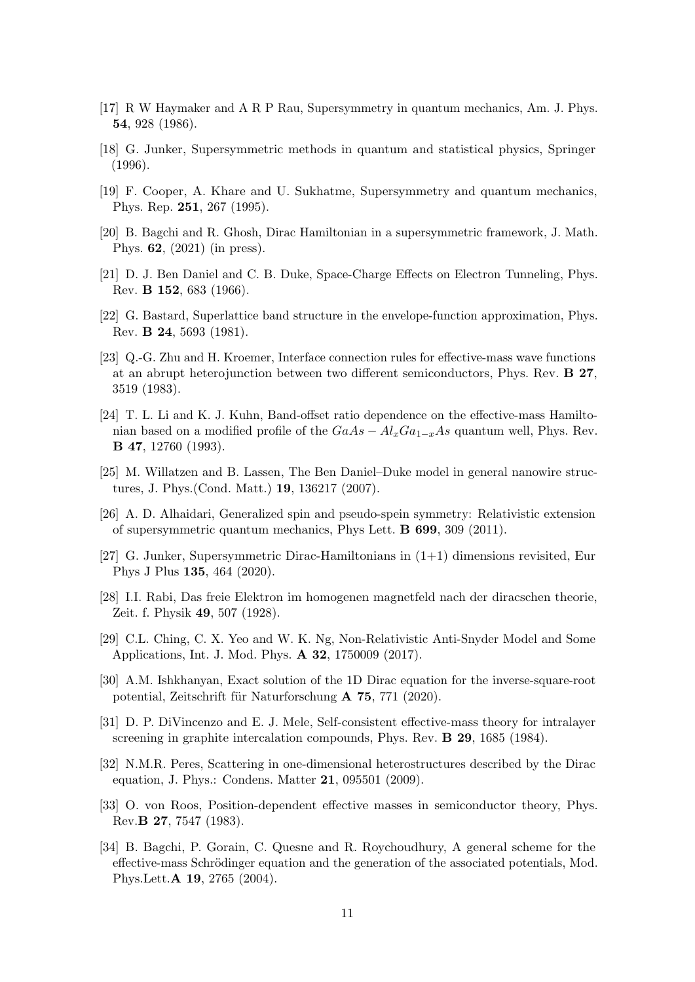- [17] R W Haymaker and A R P Rau, Supersymmetry in quantum mechanics, Am. J. Phys. 54, 928 (1986).
- [18] G. Junker, Supersymmetric methods in quantum and statistical physics, Springer (1996).
- [19] F. Cooper, A. Khare and U. Sukhatme, Supersymmetry and quantum mechanics, Phys. Rep. 251, 267 (1995).
- [20] B. Bagchi and R. Ghosh, Dirac Hamiltonian in a supersymmetric framework, J. Math. Phys. 62, (2021) (in press).
- [21] D. J. Ben Daniel and C. B. Duke, Space-Charge Effects on Electron Tunneling, Phys. Rev. B 152, 683 (1966).
- [22] G. Bastard, Superlattice band structure in the envelope-function approximation, Phys. Rev. B 24, 5693 (1981).
- [23] Q.-G. Zhu and H. Kroemer, Interface connection rules for effective-mass wave functions at an abrupt heterojunction between two different semiconductors, Phys. Rev. B 27, 3519 (1983).
- [24] T. L. Li and K. J. Kuhn, Band-offset ratio dependence on the effective-mass Hamiltonian based on a modified profile of the  $GaAs - Al_xGa_{1-x}As$  quantum well, Phys. Rev. B 47, 12760 (1993).
- [25] M. Willatzen and B. Lassen, The Ben Daniel–Duke model in general nanowire structures, J. Phys.(Cond. Matt.) 19, 136217 (2007).
- [26] A. D. Alhaidari, Generalized spin and pseudo-spein symmetry: Relativistic extension of supersymmetric quantum mechanics, Phys Lett. B 699, 309 (2011).
- [27] G. Junker, Supersymmetric Dirac-Hamiltonians in (1+1) dimensions revisited, Eur Phys J Plus 135, 464 (2020).
- [28] I.I. Rabi, Das freie Elektron im homogenen magnetfeld nach der diracschen theorie, Zeit. f. Physik 49, 507 (1928).
- [29] C.L. Ching, C. X. Yeo and W. K. Ng, Non-Relativistic Anti-Snyder Model and Some Applications, Int. J. Mod. Phys. A 32, 1750009 (2017).
- [30] A.M. Ishkhanyan, Exact solution of the 1D Dirac equation for the inverse-square-root potential, Zeitschrift für Naturforschung  $\bf{A}$  75, 771 (2020).
- [31] D. P. DiVincenzo and E. J. Mele, Self-consistent effective-mass theory for intralayer screening in graphite intercalation compounds, Phys. Rev. B 29, 1685 (1984).
- [32] N.M.R. Peres, Scattering in one-dimensional heterostructures described by the Dirac equation, J. Phys.: Condens. Matter 21, 095501 (2009).
- [33] O. von Roos, Position-dependent effective masses in semiconductor theory, Phys. Rev.B 27, 7547 (1983).
- [34] B. Bagchi, P. Gorain, C. Quesne and R. Roychoudhury, A general scheme for the effective-mass Schrödinger equation and the generation of the associated potentials, Mod. Phys.Lett.A 19, 2765 (2004).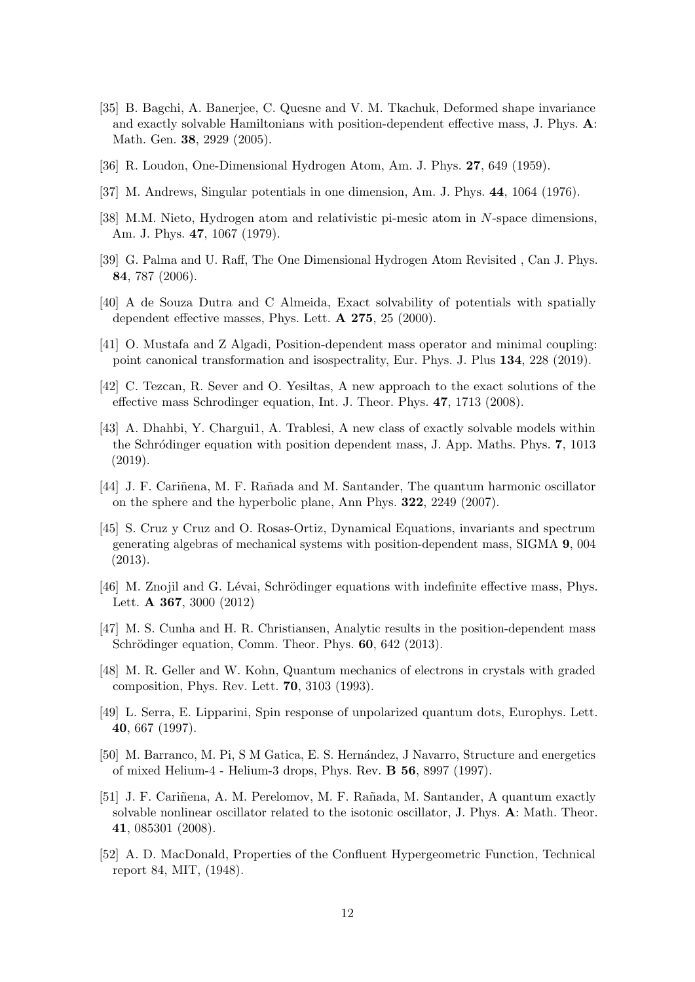- [35] B. Bagchi, A. Banerjee, C. Quesne and V. M. Tkachuk, Deformed shape invariance and exactly solvable Hamiltonians with position-dependent effective mass, J. Phys. A: Math. Gen. 38, 2929 (2005).
- [36] R. Loudon, One-Dimensional Hydrogen Atom, Am. J. Phys. 27, 649 (1959).
- [37] M. Andrews, Singular potentials in one dimension, Am. J. Phys. 44, 1064 (1976).
- [38] M.M. Nieto, Hydrogen atom and relativistic pi-mesic atom in N-space dimensions, Am. J. Phys. 47, 1067 (1979).
- [39] G. Palma and U. Raff, The One Dimensional Hydrogen Atom Revisited , Can J. Phys. 84, 787 (2006).
- [40] A de Souza Dutra and C Almeida, Exact solvability of potentials with spatially dependent effective masses, Phys. Lett. A 275, 25 (2000).
- [41] O. Mustafa and Z Algadi, Position-dependent mass operator and minimal coupling: point canonical transformation and isospectrality, Eur. Phys. J. Plus 134, 228 (2019).
- [42] C. Tezcan, R. Sever and O. Yesiltas, A new approach to the exact solutions of the effective mass Schrodinger equation, Int. J. Theor. Phys. 47, 1713 (2008).
- [43] A. Dhahbi, Y. Chargui1, A. Trablesi, A new class of exactly solvable models within the Schrödinger equation with position dependent mass, J. App. Maths. Phys. 7, 1013 (2019).
- [44] J. F. Cariñena, M. F. Rañada and M. Santander, The quantum harmonic oscillator on the sphere and the hyperbolic plane, Ann Phys. 322, 2249 (2007).
- [45] S. Cruz y Cruz and O. Rosas-Ortiz, Dynamical Equations, invariants and spectrum generating algebras of mechanical systems with position-dependent mass, SIGMA 9, 004 (2013).
- [46] M. Znojil and G. Lévai, Schrödinger equations with indefinite effective mass, Phys. Lett. A 367, 3000 (2012)
- [47] M. S. Cunha and H. R. Christiansen, Analytic results in the position-dependent mass Schrödinger equation, Comm. Theor. Phys. 60, 642 (2013).
- [48] M. R. Geller and W. Kohn, Quantum mechanics of electrons in crystals with graded composition, Phys. Rev. Lett. 70, 3103 (1993).
- [49] L. Serra, E. Lipparini, Spin response of unpolarized quantum dots, Europhys. Lett. 40, 667 (1997).
- [50] M. Barranco, M. Pi, S M Gatica, E. S. Hern´andez, J Navarro, Structure and energetics of mixed Helium-4 - Helium-3 drops, Phys. Rev. B 56, 8997 (1997).
- [51] J. F. Cariñena, A. M. Perelomov, M. F. Rañada, M. Santander, A quantum exactly solvable nonlinear oscillator related to the isotonic oscillator, J. Phys. A: Math. Theor. 41, 085301 (2008).
- [52] A. D. MacDonald, Properties of the Confluent Hypergeometric Function, Technical report 84, MIT, (1948).